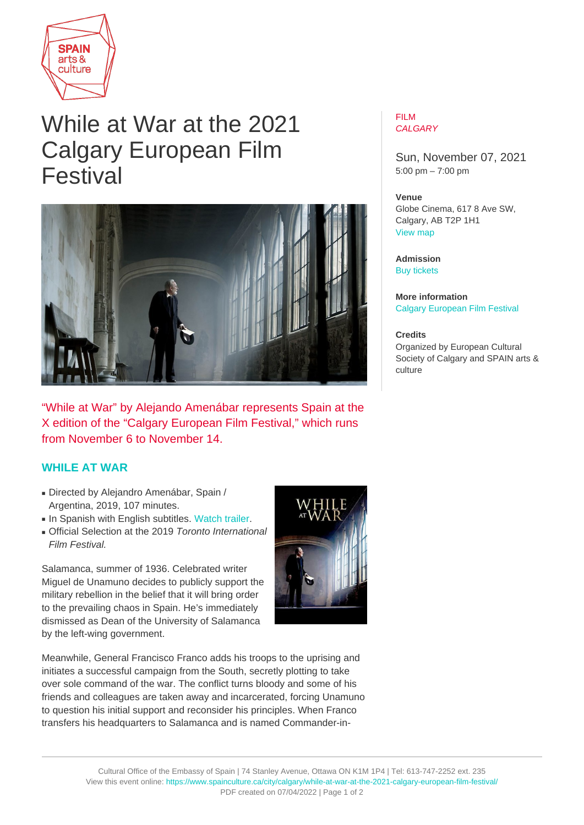

# While at War at the 2021 Calgary European Film Festival



"While at War" by Alejando Amenábar represents Spain at the X edition of the "Calgary European Film Festival," which runs from November 6 to November 14.

## **[WHILE AT WAR](https://calgaryeuropeanfilmfestival.ca/2021-films/while-at-war/)**

- Directed by Alejandro Amenábar, Spain / Argentina, 2019, 107 minutes.
- In Spanish with English subtitles. [Watch trailer](https://www.youtube.com/watch?v=h6SAcAled8k).
- Official Selection at the 2019 Toronto International Film Festival.

Salamanca, summer of 1936. Celebrated writer Miguel de Unamuno decides to publicly support the military rebellion in the belief that it will bring order to the prevailing chaos in Spain. He's immediately dismissed as Dean of the University of Salamanca by the left-wing government.

Meanwhile, General Francisco Franco adds his troops to the uprising and initiates a successful campaign from the South, secretly plotting to take over sole command of the war. The conflict turns bloody and some of his friends and colleagues are taken away and incarcerated, forcing Unamuno to question his initial support and reconsider his principles. When Franco transfers his headquarters to Salamanca and is named Commander-in-

### FILM **CALGARY**

Sun, November 07, 2021 5:00 pm – 7:00 pm

#### **Venue**

Globe Cinema, 617 8 Ave SW, Calgary, AB T2P 1H1 [View map](https://maps.google.com/maps?q=Globe+Cinema%2C+617+8+Ave+SW%2C+Calgary%2C+AB+T2P+1H1)

**Admission** [Buy tickets](https://www.showpass.com/while-at-war-in-cinema-only/)

**More information** [Calgary European Film Festival](https://calgaryeuropeanfilmfestival.ca/2021-schedule/)

#### **Credits** Organized by European Cultural Society of Calgary and SPAIN arts & culture